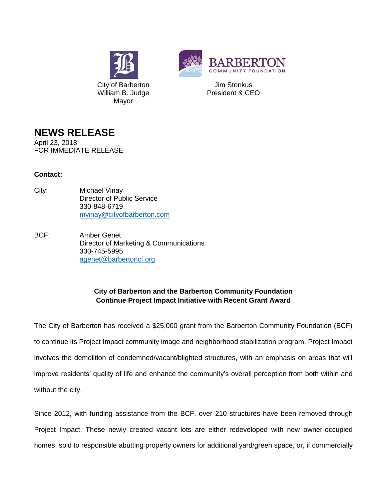



Jim Stonkus President & CEO

## **NEWS RELEASE**

April 23, 2018 FOR IMMEDIATE RELEASE

## **Contact:**

- City: Michael Vinay Director of Public Service 330-848-6719 [mvinay@cityofbarberton.com](mailto:mvinay@cityofbarberton.com)
- BCF: Amber Genet Director of Marketing & Communications 330-745-5995 [agenet@barbertoncf.org](mailto:agenet@barbertoncf.org)

## **City of Barberton and the Barberton Community Foundation Continue Project Impact Initiative with Recent Grant Award**

The City of Barberton has received a \$25,000 grant from the Barberton Community Foundation (BCF) to continue its Project Impact community image and neighborhood stabilization program. Project Impact involves the demolition of condemned/vacant/blighted structures, with an emphasis on areas that will improve residents' quality of life and enhance the community's overall perception from both within and without the city.

Since 2012, with funding assistance from the BCF, over 210 structures have been removed through Project Impact. These newly created vacant lots are either redeveloped with new owner-occupied homes, sold to responsible abutting property owners for additional yard/green space, or, if commercially